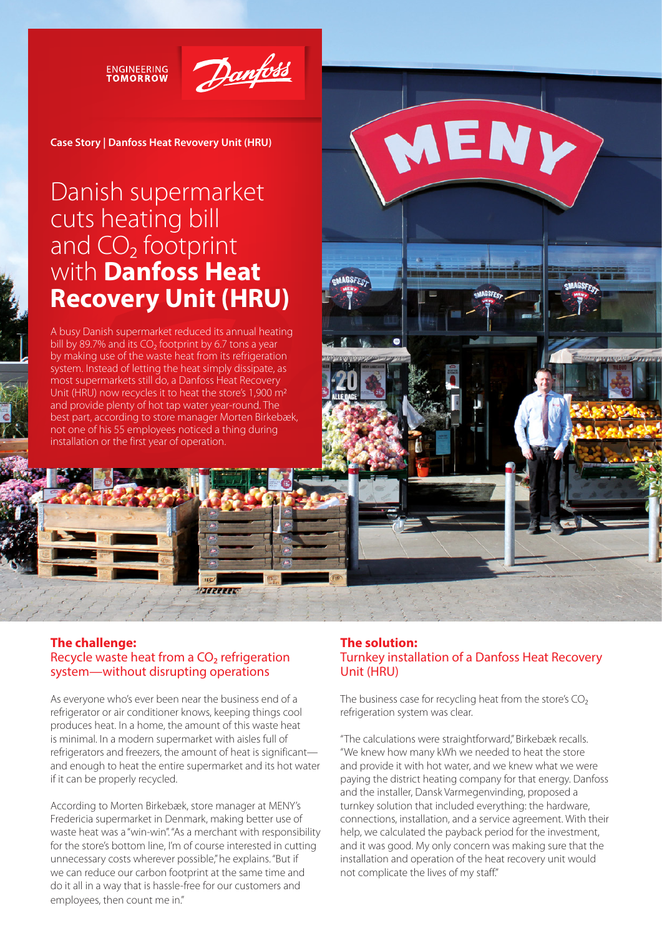**ENGINEERING TOMORROW** 



**AGSFE** 

**Case Story | Danfoss Heat Revovery Unit (HRU)**

# Danish supermarket cuts heating bill and  $CO<sub>2</sub>$  footprint with **Danfoss Heat Recovery Unit (HRU)**

A busy Danish supermarket reduced its annual heating bill by 89.7% and its CO<sub>2</sub> footprint by 6.7 tons a year by making use of the waste heat from its refrigeration system. Instead of letting the heat simply dissipate, as most supermarkets still do, a Danfoss Heat Recovery Unit (HRU) now recycles it to heat the store's 1,900 m<sup>2</sup> and provide plenty of hot tap water year-round. The best part, according to store manager Morten Birkebæk, not one of his 55 employees noticed a thing during installation or the first year of operation.

## **The challenge:**  Recycle waste heat from a CO<sub>2</sub> refrigeration system—without disrupting operations

**STATISTICS** 

As everyone who's ever been near the business end of a refrigerator or air conditioner knows, keeping things cool produces heat. In a home, the amount of this waste heat is minimal. In a modern supermarket with aisles full of refrigerators and freezers, the amount of heat is significant and enough to heat the entire supermarket and its hot water if it can be properly recycled.

According to Morten Birkebæk, store manager at MENY's Fredericia supermarket in Denmark, making better use of waste heat was a "win-win". "As a merchant with responsibility for the store's bottom line, I'm of course interested in cutting unnecessary costs wherever possible," he explains. "But if we can reduce our carbon footprint at the same time and do it all in a way that is hassle-free for our customers and employees, then count me in."

# **The solution:**  Turnkey installation of a Danfoss Heat Recovery Unit (HRU)

MENY

The business case for recycling heat from the store's  $CO<sub>2</sub>$ refrigeration system was clear.

"The calculations were straightforward," Birkebæk recalls. "We knew how many kWh we needed to heat the store and provide it with hot water, and we knew what we were paying the district heating company for that energy. Danfoss and the installer, Dansk Varmegenvinding, proposed a turnkey solution that included everything: the hardware, connections, installation, and a service agreement. With their help, we calculated the payback period for the investment, and it was good. My only concern was making sure that the installation and operation of the heat recovery unit would not complicate the lives of my staff."